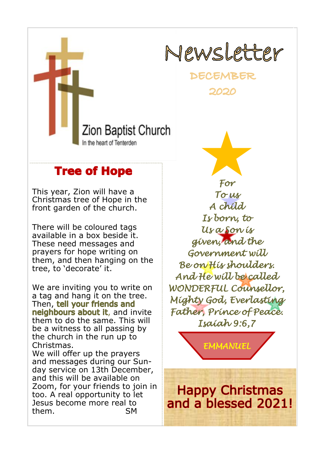

**DECEMBER** 2020

Zion Baptist Church In the heart of Tenterden

## **Tree of Hope**

This year, Zion will have a Christmas tree of Hope in the front garden of the church.

There will be coloured tags available in a box beside it. These need messages and prayers for hope writing on them, and then hanging on the tree, to 'decorate' it.

We are inviting you to write on a tag and hang it on the tree. Then, tell your friends and neighbours about it, and invite them to do the same. This will be a witness to all passing by the church in the run up to Christmas. We will offer up the prayers and messages during our Sunday service on 13th December, and this will be available on Zoom, for your friends to join in too. A real opportunity to let Jesus become more real to

them. SM

*For To us A child Is born, to Us a Son is given, and the Government will Be on His shoulders. And He will be called WONDERFUL Counsellor, Mighty God, Everlasting Father, Prince of Peace. Isaiah 9:6,7* 

*EMMANUEL* 

**Happy Christmas** and a blessed 2021!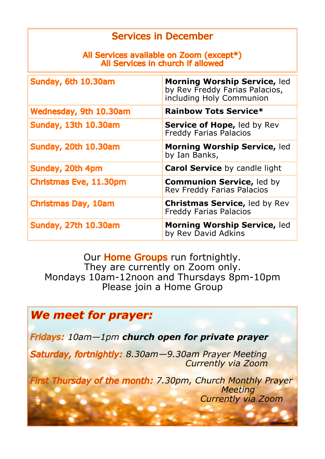#### **Services in December**

#### All Services available on Zoom (except\*) All Services in church if allowed

| Sunday, 6th 10.30am           | Morning Worship Service, led<br>by Rev Freddy Farias Palacios,<br>including Holy Communion |
|-------------------------------|--------------------------------------------------------------------------------------------|
| Wednesday, 9th 10.30am        | <b>Rainbow Tots Service*</b>                                                               |
| Sunday, 13th 10.30am          | Service of Hope, led by Rev<br><b>Freddy Farias Palacios</b>                               |
| <b>Sunday, 20th 10.30am</b>   | <b>Morning Worship Service, led</b><br>by Ian Banks,                                       |
| Sunday, 20th 4pm              | <b>Carol Service by candle light</b>                                                       |
| <b>Christmas Eve, 11.30pm</b> | <b>Communion Service, led by</b><br>Rev Freddy Farias Palacios                             |
| <b>Christmas Day, 10am</b>    | <b>Christmas Service, led by Rev</b><br><b>Freddy Farias Palacios</b>                      |
| <b>Sunday, 27th 10.30am</b>   | <b>Morning Worship Service, led</b><br>by Rev David Adkins                                 |

Our **Home Groups** run fortnightly. They are currently on Zoom only. Mondays 10am-12noon and Thursdays 8pm-10pm Please join a Home Group

# We meet for prayer: *10am—1pm church open for private prayer 8.30am—9.30am Prayer Meeting Currently via Zoom* **First Thursday of the month: 7.30pm, Church Monthly Prayer**  *Meeting Currently via Zoom*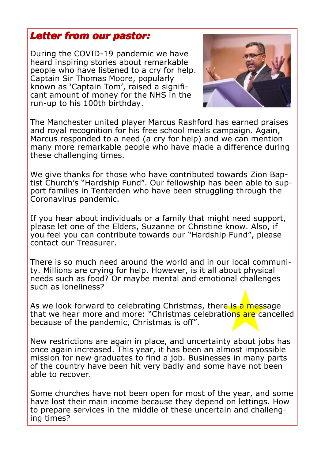#### **Letter from our pastor:**

During the COVID-19 pandemic we have heard inspiring stories about remarkable people who have listened to a cry for help. Captain Sir Thomas Moore, popularly known as 'Captain Tom', raised a significant amount of money for the NHS in the run-up to his 100th birthday.



The Manchester united player Marcus Rashford has earned praises and royal recognition for his free school meals campaign. Again, Marcus responded to a need (a cry for help) and we can mention many more remarkable people who have made a difference during these challenging times.

We give thanks for those who have contributed towards Zion Baptist Church's "Hardship Fund". Our fellowship has been able to support families in Tenterden who have been struggling through the Coronavirus pandemic.

If you hear about individuals or a family that might need support, please let one of the Elders, Suzanne or Christine know. Also, if you feel you can contribute towards our "Hardship Fund", please contact our Treasurer.

There is so much need around the world and in our local community. Millions are crying for help. However, is it all about physical needs such as food? Or maybe mental and emotional challenges such as loneliness?

As we look forward to celebrating Christmas, there is a message that we hear more and more: "Christmas celebrations are cancelled because of the pandemic, Christmas is off".

New restrictions are again in place, and uncertainty about jobs has once again increased. This year, it has been an almost impossible mission for new graduates to find a job. Businesses in many parts of the country have been hit very badly and some have not been able to recover.

Some churches have not been open for most of the year, and some have lost their main income because they depend on lettings. How to prepare services in the middle of these uncertain and challenging times?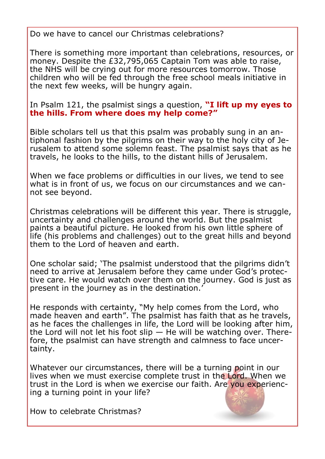Do we have to cancel our Christmas celebrations?

There is something more important than celebrations, resources, or money. Despite the £32,795,065 Captain Tom was able to raise, the NHS will be crying out for more resources tomorrow. Those children who will be fed through the free school meals initiative in the next few weeks, will be hungry again.

In Psalm 121, the psalmist sings a question, **"I lift up my eyes to the hills. From where does my help come?"**

Bible scholars tell us that this psalm was probably sung in an antiphonal fashion by the pilgrims on their way to the holy city of Jerusalem to attend some solemn feast. The psalmist says that as he travels, he looks to the hills, to the distant hills of Jerusalem.

When we face problems or difficulties in our lives, we tend to see what is in front of us, we focus on our circumstances and we cannot see beyond.

Christmas celebrations will be different this year. There is struggle, uncertainty and challenges around the world. But the psalmist paints a beautiful picture. He looked from his own little sphere of life (his problems and challenges) out to the great hills and beyond them to the Lord of heaven and earth.

One scholar said; 'The psalmist understood that the pilgrims didn't need to arrive at Jerusalem before they came under God's protective care. He would watch over them on the journey. God is just as present in the journey as in the destination.'

He responds with certainty, "My help comes from the Lord, who made heaven and earth". The psalmist has faith that as he travels, as he faces the challenges in life, the Lord will be looking after him, the Lord will not let his foot slip  $-$  He will be watching over. Therefore, the psalmist can have strength and calmness to face uncertainty.

Whatever our circumstances, there will be a turning point in our lives when we must exercise complete trust in the Lord. When we trust in the Lord is when we exercise our faith. Are you experiencing a turning point in your life?

How to celebrate Christmas?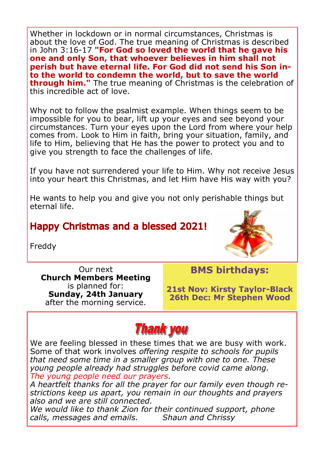Whether in lockdown or in normal circumstances, Christmas is about the love of God. The true meaning of Christmas is described in John 3:16-17 **"For God so loved the world that he gave his one and only Son, that whoever believes in him shall not perish but have eternal life. For God did not send his Son into the world to condemn the world, but to save the world through him."** The true meaning of Christmas is the celebration of this incredible act of love.

Why not to follow the psalmist example. When things seem to be impossible for you to bear, lift up your eyes and see beyond your circumstances. Turn your eyes upon the Lord from where your help comes from. Look to Him in faith, bring your situation, family, and life to Him, believing that He has the power to protect you and to give you strength to face the challenges of life.

If you have not surrendered your life to Him. Why not receive Jesus into your heart this Christmas, and let Him have His way with you?

He wants to help you and give you not only perishable things but eternal life.

### **Happy Christmas and a blessed 2021!**

Freddy



Our next **Church Members Meeting**  is planned for: **Sunday, 24th January**  after the morning service.

**BMS birthdays:**

**21st Nov: Kirsty Taylor-Black 26th Dec: Mr Stephen Wood**

## **Thank you**

We are feeling blessed in these times that we are busy with work. Some of that work involves *offering respite to schools for pupils that need some time in a smaller group with one to one. These young people already had struggles before covid came along. The young people need our prayers.*

*A heartfelt thanks for all the prayer for our family even though restrictions keep us apart, you remain in our thoughts and prayers also and we are still connected.*

*We would like to thank Zion for their continued support, phone calls, messages and emails. Shaun and Chrissy*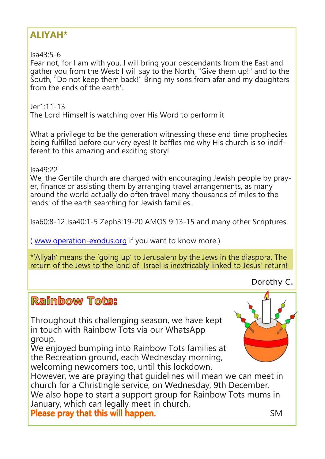## **ALIYAH\***

 $Isa43.5-6$ 

Fear not, for I am with you, I will bring your descendants from the East and gather you from the West: I will say to the North, "Give them up!" and to the South, "Do not keep them back!" Bring my sons from afar and my daughters from the ends of the earth'.

Jer1:11-13 The Lord Himself is watching over His Word to perform it

What a privilege to be the generation witnessing these end time prophecies being fulfilled before our very eyes! It baffles me why His church is so indifferent to this amazing and exciting story!

Isa49:22

We, the Gentile church are charged with encouraging Jewish people by prayer, finance or assisting them by arranging travel arrangements, as many around the world actually do often travel many thousands of miles to the 'ends' of the earth searching for Jewish families.

Isa60:8-12 Isa40:1-5 Zeph3:19-20 AMOS 9:13-15 and many other Scriptures.

( [www.operation](http://www.operation-exodus.org/)-exodus.org if you want to know more.)

\*'Aliyah' means the 'going up' to Jerusalem by the Jews in the diaspora. The return of the Jews to the land of Israel is inextricably linked to Jesus' return!

Dorothy C.

## Raimbow Tots:

Throughout this challenging season, we have kept in touch with Rainbow Tots via our WhatsApp group.

We enjoyed bumping into Rainbow Tots families at the Recreation ground, each Wednesday morning, welcoming newcomers too, until this lockdown.

However, we are praying that guidelines will mean we can meet in church for a Christingle service, on Wednesday, 9th December. We also hope to start a support group for Rainbow Tots mums in January, which can legally meet in church. SM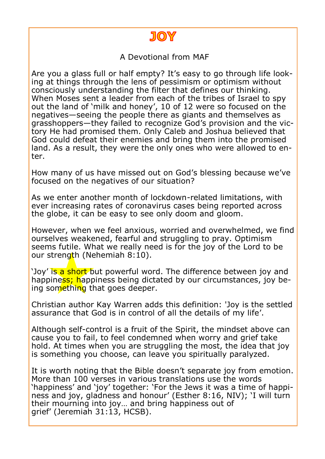

A Devotional from MAF

Are you a glass full or half empty? It's easy to go through life looking at things through the lens of pessimism or optimism without consciously understanding the filter that defines our thinking. When Moses sent a leader from each of the tribes of Israel to spy out the land of 'milk and honey', 10 of 12 were so focused on the negatives—seeing the people there as giants and themselves as grasshoppers—they failed to recognize God's provision and the victory He had promised them. Only Caleb and Joshua believed that God could defeat their enemies and bring them into the promised land. As a result, they were the only ones who were allowed to enter.

How many of us have missed out on God's blessing because we've focused on the negatives of our situation?

As we enter another month of lockdown-related limitations, with ever increasing rates of coronavirus cases being reported across the globe, it can be easy to see only doom and gloom.

However, when we feel anxious, worried and overwhelmed, we find ourselves weakened, fearful and struggling to pray. Optimism seems futile. What we really need is for the joy of the Lord to be our strength (Nehemiah 8:10).

'Joy' is a short but powerful word. The difference between joy and happiness; happiness being dictated by our circumstances, joy being something that goes deeper.

Christian author Kay Warren adds this definition: 'Joy is the settled assurance that God is in control of all the details of my life'.

Although self-control is a fruit of the Spirit, the mindset above can cause you to fail, to feel condemned when worry and grief take hold. At times when you are struggling the most, the idea that joy is something you choose, can leave you spiritually paralyzed.

It is worth noting that the Bible doesn't separate joy from emotion. More than 100 verses in various translations use the words 'happiness' and 'joy' together: 'For the Jews it was a time of happiness and joy, gladness and honour' (Esther 8:16, NIV); 'I will turn their mourning into joy… and bring happiness out of grief' (Jeremiah 31:13, HCSB).